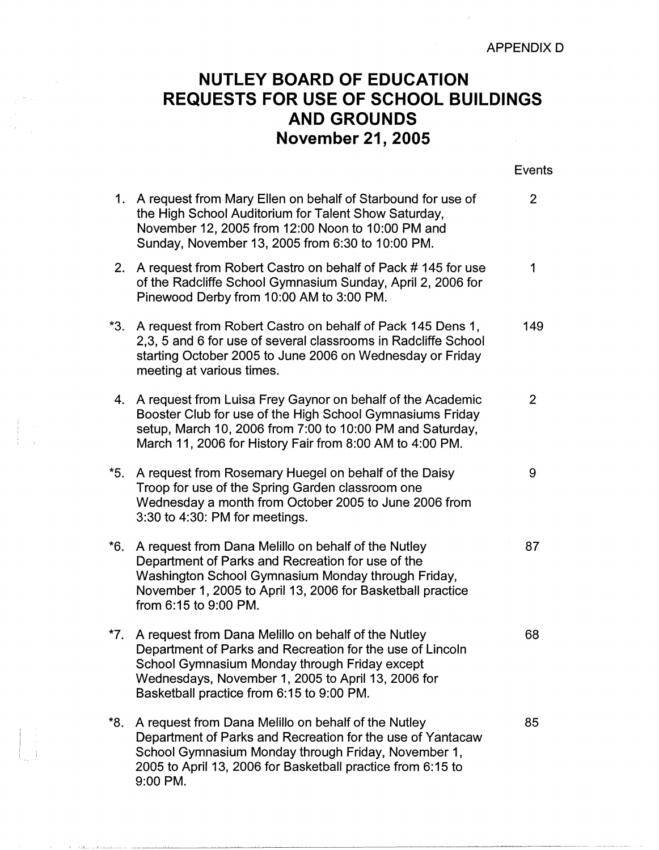## **NUTLEY BOARD OF EDUCATION REQUESTS FOR USE OF SCHOOL BUILDINGS AND GROUNDS November 21, 2005**

|     |                                                                                                                                                                                                                                                                      | Events         |
|-----|----------------------------------------------------------------------------------------------------------------------------------------------------------------------------------------------------------------------------------------------------------------------|----------------|
| 1.  | A request from Mary Ellen on behalf of Starbound for use of<br>the High School Auditorium for Talent Show Saturday,<br>November 12, 2005 from 12:00 Noon to 10:00 PM and<br>Sunday, November 13, 2005 from 6:30 to 10:00 PM.                                         | 2              |
| 2.  | A request from Robert Castro on behalf of Pack #145 for use<br>of the Radcliffe School Gymnasium Sunday, April 2, 2006 for<br>Pinewood Derby from 10:00 AM to 3:00 PM.                                                                                               | 1              |
| *3. | A request from Robert Castro on behalf of Pack 145 Dens 1,<br>2,3, 5 and 6 for use of several classrooms in Radcliffe School<br>starting October 2005 to June 2006 on Wednesday or Friday<br>meeting at various times.                                               | 149            |
| 4.  | A request from Luisa Frey Gaynor on behalf of the Academic<br>Booster Club for use of the High School Gymnasiums Friday<br>setup, March 10, 2006 from 7:00 to 10:00 PM and Saturday,<br>March 11, 2006 for History Fair from 8:00 AM to 4:00 PM.                     | $\overline{2}$ |
| *5. | A request from Rosemary Huegel on behalf of the Daisy<br>Troop for use of the Spring Garden classroom one<br>Wednesday a month from October 2005 to June 2006 from<br>3:30 to 4:30: PM for meetings.                                                                 | 9              |
| *6. | A request from Dana Melillo on behalf of the Nutley<br>Department of Parks and Recreation for use of the<br>Washington School Gymnasium Monday through Friday,<br>November 1, 2005 to April 13, 2006 for Basketball practice<br>from 6:15 to 9:00 PM.                | 87             |
| *7. | A request from Dana Melillo on behalf of the Nutley<br>Department of Parks and Recreation for the use of Lincoln<br>School Gymnasium Monday through Friday except<br>Wednesdays, November 1, 2005 to April 13, 2006 for<br>Basketball practice from 6:15 to 9:00 PM. | 68             |
| *8. | A request from Dana Melillo on behalf of the Nutley<br>Department of Parks and Recreation for the use of Yantacaw<br>School Gymnasium Monday through Friday, November 1,<br>2005 to April 13, 2006 for Basketball practice from 6:15 to<br>9:00 PM.                  | 85             |

the matter of their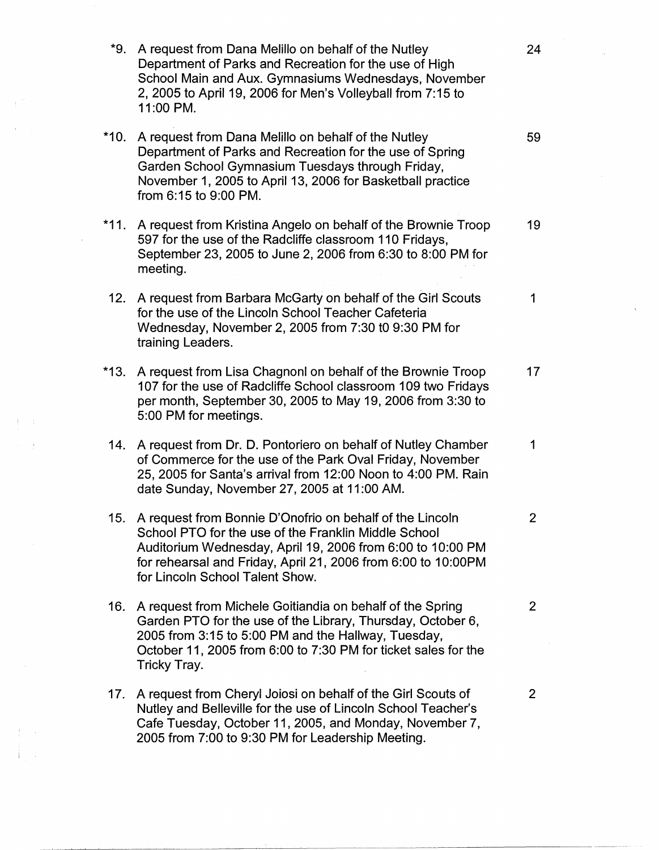\*9. A request from Dana Melillo on behalf of the Nutley 24 Department of Parks and Recreation for the use of High School Main and Aux. Gymnasiums Wednesdays, November 2, 2005 to April 19, 2006 for Men's Volleyball from 7:15 to 11:00 PM. \*10. A request from Dana Melillo on behalf of the Nutley 59 Department of Parks and Recreation for the use of Spring Garden School Gymnasium Tuesdays through Friday, November 1, 2005 to April 13, 2006 for Basketball practice from 6:15 to 9:00 PM. \*11. A request from Kristina Angelo on behalf of the Brownie Troop 19 597 for the use of the Radcliffe classroom 110 Fridays, September 23, 2005 to June 2, 2006 from 6:30 to 8:00 PM for meeting. 12. A request from Barbara McGarty on behalf of the Girl Scouts 1 for the use of the Lincoln School Teacher Cafeteria Wednesday, November 2, 2005 from 7:30 to 9:30 PM for training Leaders. \*13. A request from Lisa Chagnon! on behalf of the Brownie Troop 17 107 for the use of Radcliffe School classroom 109 two Fridays per month, September 30, 2005 to May 19, 2006 from 3:30 to 5:00 PM for meetings. 14. A request from Dr. D. Pontoriero on behalf of Nutley Chamber 1 of Commerce for the use of the Park Oval Friday, November 25, 2005 for Santa's arrival from 12:00 Noon to 4:00 PM. Rain date Sunday, November 27, 2005 at 11 :00 AM. 15. A request from Bonnie D'Onofrio on behalf of the Lincoln 2 School PTO for the use of the Franklin Middle School Auditorium Wednesday, April 19, 2006 from 6:00 to 10:00 PM for rehearsal and Friday, April 21, 2006 from 6:00 to 10:00PM for Lincoln School Talent Show. 16. A request from Michele Goitiandia on behalf of the Spring 2 Garden PTO for the use of the Library, Thursday, October 6, 2005 from 3:15 to 5:00 PM and the Hallway, Tuesday, October 11, 2005 from 6:00 to 7:30 PM for ticket sales for the Tricky Tray. 17. A request from Cheryl Joiosi on behalf of the Girl Scouts of 2 Nutley and Belleville for the use of Lincoln School Teacher's Cafe Tuesday, October 11, 2005, and Monday, November 7, 2005 from 7:00 to 9:30 PM for Leadership Meeting.